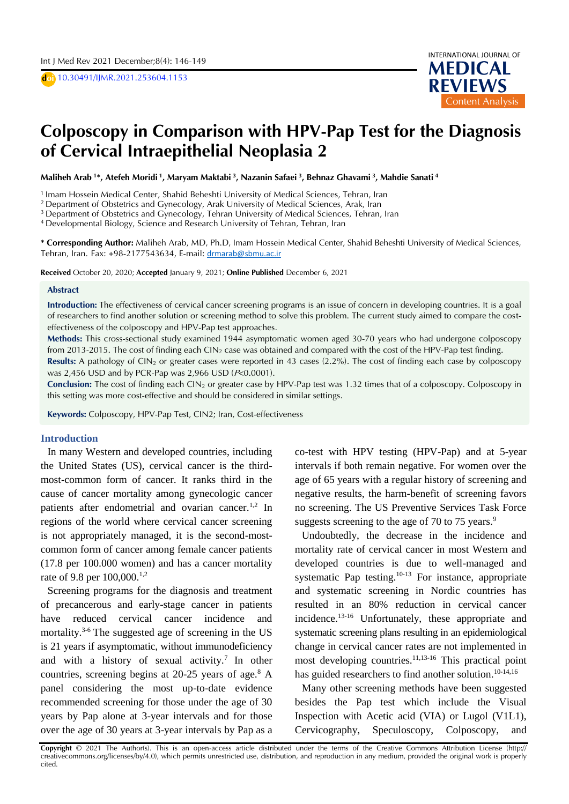D **doi** 10.30491/IJMR.2021.253604.1153



# **Colposcopy in Comparison with HPV-Pap Test for the Diagnosis**  $\overline{a}$ A **of Cervical Intraepithelial Neoplasia 2**

Maliheh Arab <sup>1</sup>\*, Atefeh Moridi <sup>1</sup>, Maryam Maktabi <sup>3</sup>, Nazanin Safaei <sup>3</sup>, Behnaz Ghavami <sup>3</sup>, Mahdie Sanati <sup>4</sup>

1 Imam Hossein Medical Center, Shahid Beheshti University of Medical Sciences, Tehran, Iran

<sup>2</sup> Department of Obstetrics and Gynecology, Arak University of Medical Sciences, Arak, Iran

<sup>3</sup> Department of Obstetrics and Gynecology, Tehran University of Medical Sciences, Tehran, Iran

<sup>4</sup>Developmental Biology, Science and Research University of Tehran, Tehran, Iran

**\* Corresponding Author:** Maliheh Arab, MD, Ph.D, Imam Hossein Medical Center, Shahid Beheshti University of Medical Sciences, Tehran, Iran. Fax: +98-2177543634, E-mail: [drmarab@sbmu.ac.ir](mailto:drmarab@sbmu.ac.ir)

**Received** October 20, 2020; **Accepted** January 9, 2021; **Online Published** December 6, 2021

#### **Abstract**

**Introduction:** The effectiveness of cervical cancer screening programs is an issue of concern in developing countries. It is a goal of researchers to find another solution or screening method to solve this problem. The current study aimed to compare the costeffectiveness of the colposcopy and HPV-Pap test approaches.

**Methods:** This cross-sectional study examined 1944 asymptomatic women aged 30-70 years who had undergone colposcopy from 2013-2015. The cost of finding each  $CIN_2$  case was obtained and compared with the cost of the HPV-Pap test finding.

**Results:** A pathology of  $CIN<sub>2</sub>$  or greater cases were reported in 43 cases (2.2%). The cost of finding each case by colposcopy was 2,456 USD and by PCR-Pap was 2,966 USD (P<0.0001).

**Conclusion:** The cost of finding each CIN<sub>2</sub> or greater case by HPV-Pap test was 1.32 times that of a colposcopy. Colposcopy in this setting was more cost-effective and should be considered in similar settings.

**Keywords:** Colposcopy, HPV-Pap Test, CIN2; Iran, Cost-effectiveness

### **Introduction**

In many Western and developed countries, including the United States (US), cervical cancer is the thirdmost-common form of cancer. It ranks third in the cause of cancer mortality among gynecologic cancer patients after endometrial and ovarian cancer.<sup>1,2</sup> In regions of the world where cervical cancer screening is not appropriately managed, it is the second-mostcommon form of cancer among female cancer patients (17.8 per 100.000 women) and has a cancer mortality rate of 9.8 per 100,000.<sup>1,2</sup>

Screening programs for the diagnosis and treatment of precancerous and early-stage cancer in patients have reduced cervical cancer incidence and mortality.3-6 The suggested age of screening in the US is 21 years if asymptomatic, without immunodeficiency and with a history of sexual activity.<sup>7</sup> In other countries, screening begins at  $20-25$  years of age.<sup>8</sup> A panel considering the most up-to-date evidence recommended screening for those under the age of 30 years by Pap alone at 3-year intervals and for those over the age of 30 years at 3-year intervals by Pap as a

co-test with HPV testing (HPV-Pap) and at 5-year intervals if both remain negative. For women over the age of 65 years with a regular history of screening and negative results, the harm-benefit of screening favors no screening. The US Preventive Services Task Force suggests screening to the age of 70 to 75 years.<sup>9</sup>

Undoubtedly, the decrease in the incidence and mortality rate of cervical cancer in most Western and developed countries is due to well-managed and systematic Pap testing. $10-13$  For instance, appropriate and systematic screening in Nordic countries has resulted in an 80% reduction in cervical cancer incidence.13-16 Unfortunately, these appropriate and systematic screening plans resulting in an epidemiological change in cervical cancer rates are not implemented in most developing countries.<sup>11,13-16</sup> This practical point has guided researchers to find another solution.<sup>10-14,16</sup>

Many other screening methods have been suggested besides the Pap test which include the Visual Inspection with Acetic acid (VIA) or Lugol (V1L1), Cervicography, Speculoscopy, Colposcopy, and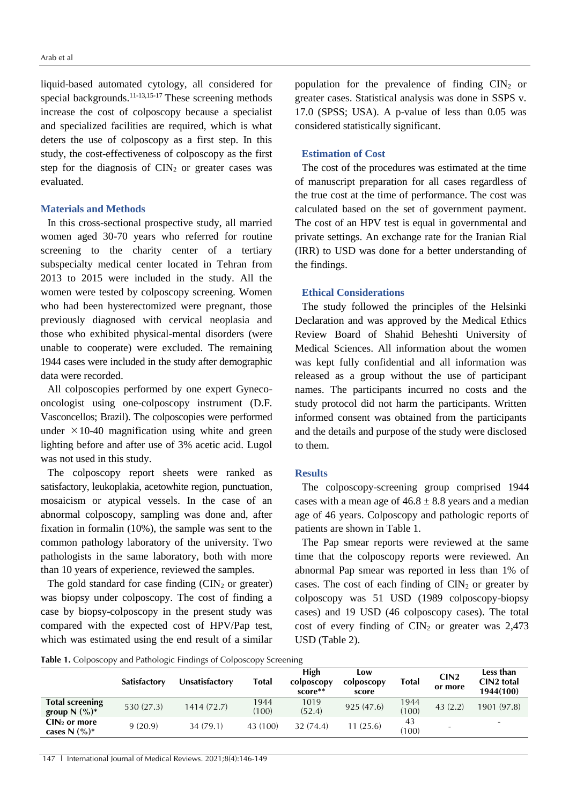liquid-based automated cytology, all considered for special backgrounds.<sup>11-13,15-17</sup> These screening methods increase the cost of colposcopy because a specialist and specialized facilities are required, which is what deters the use of colposcopy as a first step. In this study, the cost-effectiveness of colposcopy as the first step for the diagnosis of  $\text{CIN}_2$  or greater cases was evaluated.

## **Materials and Methods**

In this cross-sectional prospective study, all married women aged 30-70 years who referred for routine screening to the charity center of a tertiary subspecialty medical center located in Tehran from 2013 to 2015 were included in the study. All the women were tested by colposcopy screening. Women who had been hysterectomized were pregnant, those previously diagnosed with cervical neoplasia and those who exhibited physical-mental disorders (were unable to cooperate) were excluded. The remaining 1944 cases were included in the study after demographic data were recorded.

All colposcopies performed by one expert Gynecooncologist using one-colposcopy instrument (D.F. Vasconcellos; Brazil). The colposcopies were performed under  $\times$ 10-40 magnification using white and green lighting before and after use of 3% acetic acid. Lugol was not used in this study.

The colposcopy report sheets were ranked as satisfactory, leukoplakia, acetowhite region, punctuation, mosaicism or atypical vessels. In the case of an abnormal colposcopy, sampling was done and, after fixation in formalin (10%), the sample was sent to the common pathology laboratory of the university. Two pathologists in the same laboratory, both with more than 10 years of experience, reviewed the samples.

The gold standard for case finding  $(CIN<sub>2</sub>$  or greater) was biopsy under colposcopy. The cost of finding a case by biopsy-colposcopy in the present study was compared with the expected cost of HPV/Pap test, which was estimated using the end result of a similar

population for the prevalence of finding  $CIN<sub>2</sub>$  or greater cases. Statistical analysis was done in SSPS v. 17.0 (SPSS; USA). A p-value of less than 0.05 was considered statistically significant.

# **Estimation of Cost**

The cost of the procedures was estimated at the time of manuscript preparation for all cases regardless of the true cost at the time of performance. The cost was calculated based on the set of government payment. The cost of an HPV test is equal in governmental and private settings. An exchange rate for the Iranian Rial (IRR) to USD was done for a better understanding of the findings.

# **Ethical Considerations**

The study followed the principles of the Helsinki Declaration and was approved by the Medical Ethics Review Board of Shahid Beheshti University of Medical Sciences. All information about the women was kept fully confidential and all information was released as a group without the use of participant names. The participants incurred no costs and the study protocol did not harm the participants. Written informed consent was obtained from the participants and the details and purpose of the study were disclosed to them.

### **Results**

The colposcopy-screening group comprised 1944 cases with a mean age of  $46.8 \pm 8.8$  years and a median age of 46 years. Colposcopy and pathologic reports of patients are shown in Table 1.

The Pap smear reports were reviewed at the same time that the colposcopy reports were reviewed. An abnormal Pap smear was reported in less than 1% of cases. The cost of each finding of  $\text{CIN}_2$  or greater by colposcopy was 51 USD (1989 colposcopy-biopsy cases) and 19 USD (46 colposcopy cases). The total cost of every finding of  $\text{CIN}_2$  or greater was 2,473 USD (Table 2).

**Table 1.** Colposcopy and Pathologic Findings of Colposcopy Screening

|                                              | <b>Satisfactory</b> | Unsatisfactorv | Total         | High<br>colposcopy<br>score** | LOW<br>colposcopy<br>score | Total         | CIN2<br>or more | Less than<br>CIN <sub>2</sub> total<br>1944(100) |
|----------------------------------------------|---------------------|----------------|---------------|-------------------------------|----------------------------|---------------|-----------------|--------------------------------------------------|
| <b>Total screening</b><br>group $N$ $(\%)^*$ | 530(27.3)           | 1414 (72.7)    | 1944<br>(100) | 1019<br>(52.4)                | 925(47.6)                  | 1944<br>(100) | 43(2.2)         | 1901 (97.8)                                      |
| $CIN2$ or more<br>cases N $(\%)^*$           | 9(20.9)             | 34(79.1)       | 43 (100)      | 32(74.4)                      | 1(25.6)                    | 43<br>(100)   | ÷               | $\overline{\phantom{a}}$                         |

147 | International Journal of Medical Reviews. 2021;8(4):146-149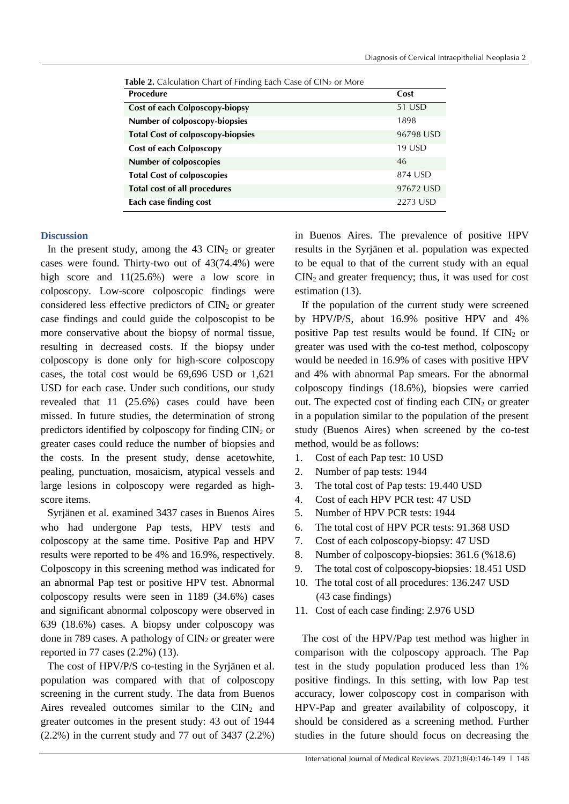| Procedure                                | Cost      |
|------------------------------------------|-----------|
| Cost of each Colposcopy-biopsy           | 51 USD    |
| Number of colposcopy-biopsies            | 1898      |
| <b>Total Cost of colposcopy-biopsies</b> | 96798 USD |
| <b>Cost of each Colposcopy</b>           | 19 USD    |
| <b>Number of colposcopies</b>            | 46        |
| <b>Total Cost of colposcopies</b>        | 874 USD   |
| <b>Total cost of all procedures</b>      | 97672 USD |
| Each case finding cost                   | 2273 USD  |

**Table 2.** Calculation Chart of Finding Each Case of CIN<sup>2</sup> or More

### **Discussion**

In the present study, among the  $43 \text{ CIN}_2$  or greater cases were found. Thirty-two out of 43(74.4%) were high score and  $11(25.6%)$  were a low score in colposcopy. Low-score colposcopic findings were considered less effective predictors of  $\text{CIN}_2$  or greater case findings and could guide the colposcopist to be more conservative about the biopsy of normal tissue, resulting in decreased costs. If the biopsy under colposcopy is done only for high-score colposcopy cases, the total cost would be 69,696 USD or 1,621 USD for each case. Under such conditions, our study revealed that 11 (25.6%) cases could have been missed. In future studies, the determination of strong predictors identified by colposcopy for finding  $\text{CIN}_2$  or greater cases could reduce the number of biopsies and the costs. In the present study, dense acetowhite, pealing, punctuation, mosaicism, atypical vessels and large lesions in colposcopy were regarded as highscore items.

Syrjänen et al. examined 3437 cases in Buenos Aires who had undergone Pap tests, HPV tests and colposcopy at the same time. Positive Pap and HPV results were reported to be 4% and 16.9%, respectively. Colposcopy in this screening method was indicated for an abnormal Pap test or positive HPV test. Abnormal colposcopy results were seen in 1189 (34.6%) cases and significant abnormal colposcopy were observed in 639 (18.6%) cases. A biopsy under colposcopy was done in 789 cases. A pathology of  $\text{CIN}_2$  or greater were reported in 77 cases (2.2%) (13).

The cost of HPV/P/S co-testing in the Syrjänen et al. population was compared with that of colposcopy screening in the current study. The data from Buenos Aires revealed outcomes similar to the  $CIN<sub>2</sub>$  and greater outcomes in the present study: 43 out of 1944 (2.2%) in the current study and 77 out of 3437 (2.2%) in Buenos Aires. The prevalence of positive HPV results in the Syrjänen et al. population was expected to be equal to that of the current study with an equal  $CIN<sub>2</sub>$  and greater frequency; thus, it was used for cost estimation (13).

If the population of the current study were screened by HPV**/**P/S, about 16.9% positive HPV and 4% positive Pap test results would be found. If  $\text{CIN}_2$  or greater was used with the co-test method, colposcopy would be needed in 16.9% of cases with positive HPV and 4% with abnormal Pap smears. For the abnormal colposcopy findings (18.6%), biopsies were carried out. The expected cost of finding each  $\text{CIN}_2$  or greater in a population similar to the population of the present study (Buenos Aires) when screened by the co-test method, would be as follows:

- 1. Cost of each Pap test: 10 USD
- 2. Number of pap tests: 1944
- 3. The total cost of Pap tests: 19.440 USD
- 4. Cost of each HPV PCR test: 47 USD
- 5. Number of HPV PCR tests: 1944
- 6. The total cost of HPV PCR tests: 91.368 USD
- 7. Cost of each colposcopy-biopsy: 47 USD
- 8. Number of colposcopy-biopsies: 361.6 (%18.6)
- 9. The total cost of colposcopy-biopsies: 18.451 USD
- 10. The total cost of all procedures: 136.247 USD (43 case findings)
- 11. Cost of each case finding: 2.976 USD

The cost of the HPV/Pap test method was higher in comparison with the colposcopy approach. The Pap test in the study population produced less than 1% positive findings. In this setting, with low Pap test accuracy, lower colposcopy cost in comparison with HPV-Pap and greater availability of colposcopy, it should be considered as a screening method. Further studies in the future should focus on decreasing the